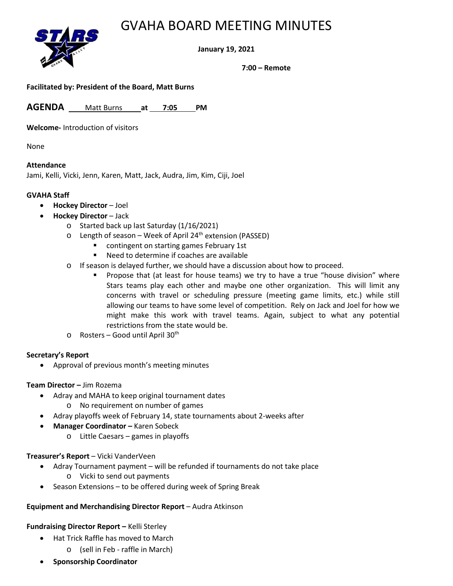## GVAHA BOARD MEETING MINUTES



**January 19, 2021**

**7:00 – Remote**

**Facilitated by: President of the Board, Matt Burns**

**AGENDA** Matt Burns **at 7:05 PM**

**Welcome-** Introduction of visitors

None

#### **Attendance**

Jami, Kelli, Vicki, Jenn, Karen, Matt, Jack, Audra, Jim, Kim, Ciji, Joel

#### **GVAHA Staff**

- **Hockey Director** Joel
	- **Hockey Director** Jack
		- o Started back up last Saturday (1/16/2021)
		- $\circ$  Length of season Week of April 24<sup>th</sup> extension (PASSED)
			- **EXECONTIFY CONTINGERT CONTINGERT** contingent on starting games February 1st
			- Need to determine if coaches are available
		- $\circ$  If season is delayed further, we should have a discussion about how to proceed.
			- Propose that (at least for house teams) we try to have a true "house division" where Stars teams play each other and maybe one other organization. This will limit any concerns with travel or scheduling pressure (meeting game limits, etc.) while still allowing our teams to have some level of competition. Rely on Jack and Joel for how we might make this work with travel teams. Again, subject to what any potential restrictions from the state would be.
		- $\circ$  Rosters Good until April 30<sup>th</sup>

#### **Secretary's Report**

• Approval of previous month's meeting minutes

#### **Team Director –** Jim Rozema

- Adray and MAHA to keep original tournament dates
	- o No requirement on number of games
- Adray playoffs week of February 14, state tournaments about 2-weeks after
- **Manager Coordinator –** Karen Sobeck
	- o Little Caesars games in playoffs

#### **Treasurer's Report** – Vicki VanderVeen

- Adray Tournament payment will be refunded if tournaments do not take place o Vicki to send out payments
- Season Extensions to be offered during week of Spring Break

#### **Equipment and Merchandising Director Report** – Audra Atkinson

#### **Fundraising Director Report –** Kelli Sterley

- Hat Trick Raffle has moved to March
	- o (sell in Feb raffle in March)
- **Sponsorship Coordinator**